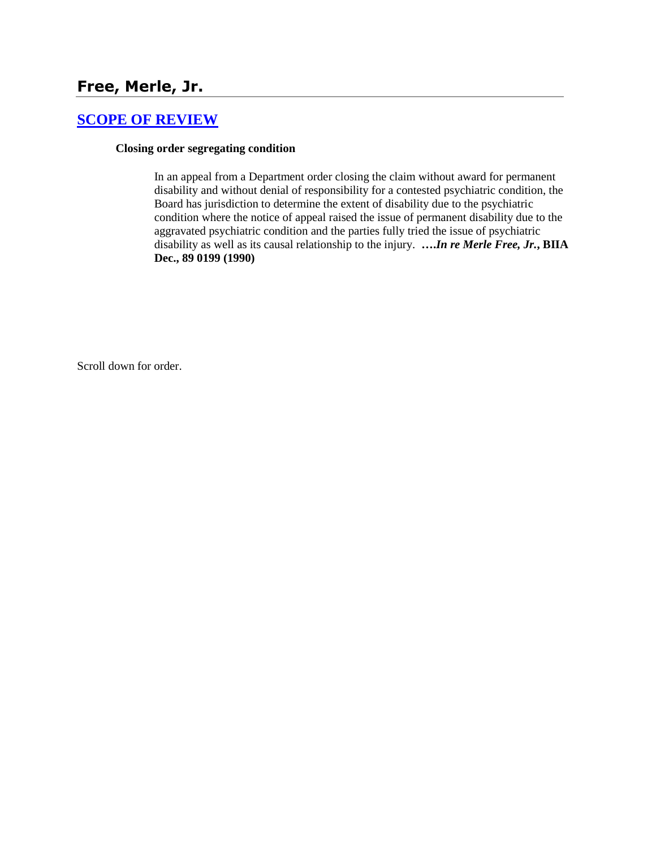# **Free, Merle, Jr.**

## **[SCOPE OF REVIEW](http://www.biia.wa.gov/SDSubjectIndex.html#SCOPE_OF_REVIEW)**

#### **Closing order segregating condition**

In an appeal from a Department order closing the claim without award for permanent disability and without denial of responsibility for a contested psychiatric condition, the Board has jurisdiction to determine the extent of disability due to the psychiatric condition where the notice of appeal raised the issue of permanent disability due to the aggravated psychiatric condition and the parties fully tried the issue of psychiatric disability as well as its causal relationship to the injury. **….***In re Merle Free, Jr.***, BIIA Dec., 89 0199 (1990)** 

Scroll down for order.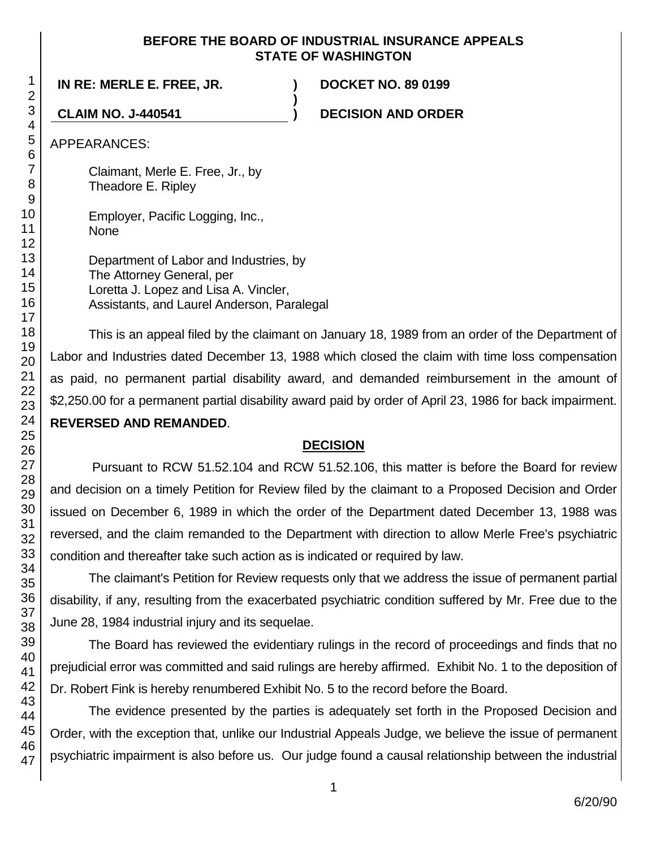## **BEFORE THE BOARD OF INDUSTRIAL INSURANCE APPEALS STATE OF WASHINGTON**

**)**

**IN RE: MERLE E. FREE, JR. ) DOCKET NO. 89 0199**

**CLAIM NO. J-440541 ) DECISION AND ORDER**

APPEARANCES:

Claimant, Merle E. Free, Jr., by Theadore E. Ripley

Employer, Pacific Logging, Inc., None

Department of Labor and Industries, by The Attorney General, per Loretta J. Lopez and Lisa A. Vincler, Assistants, and Laurel Anderson, Paralegal

This is an appeal filed by the claimant on January 18, 1989 from an order of the Department of Labor and Industries dated December 13, 1988 which closed the claim with time loss compensation as paid, no permanent partial disability award, and demanded reimbursement in the amount of \$2,250.00 for a permanent partial disability award paid by order of April 23, 1986 for back impairment. **REVERSED AND REMANDED**.

## **DECISION**

Pursuant to RCW 51.52.104 and RCW 51.52.106, this matter is before the Board for review and decision on a timely Petition for Review filed by the claimant to a Proposed Decision and Order issued on December 6, 1989 in which the order of the Department dated December 13, 1988 was reversed, and the claim remanded to the Department with direction to allow Merle Free's psychiatric condition and thereafter take such action as is indicated or required by law.

The claimant's Petition for Review requests only that we address the issue of permanent partial disability, if any, resulting from the exacerbated psychiatric condition suffered by Mr. Free due to the June 28, 1984 industrial injury and its sequelae.

The Board has reviewed the evidentiary rulings in the record of proceedings and finds that no prejudicial error was committed and said rulings are hereby affirmed. Exhibit No. 1 to the deposition of Dr. Robert Fink is hereby renumbered Exhibit No. 5 to the record before the Board.

The evidence presented by the parties is adequately set forth in the Proposed Decision and Order, with the exception that, unlike our Industrial Appeals Judge, we believe the issue of permanent psychiatric impairment is also before us. Our judge found a causal relationship between the industrial

1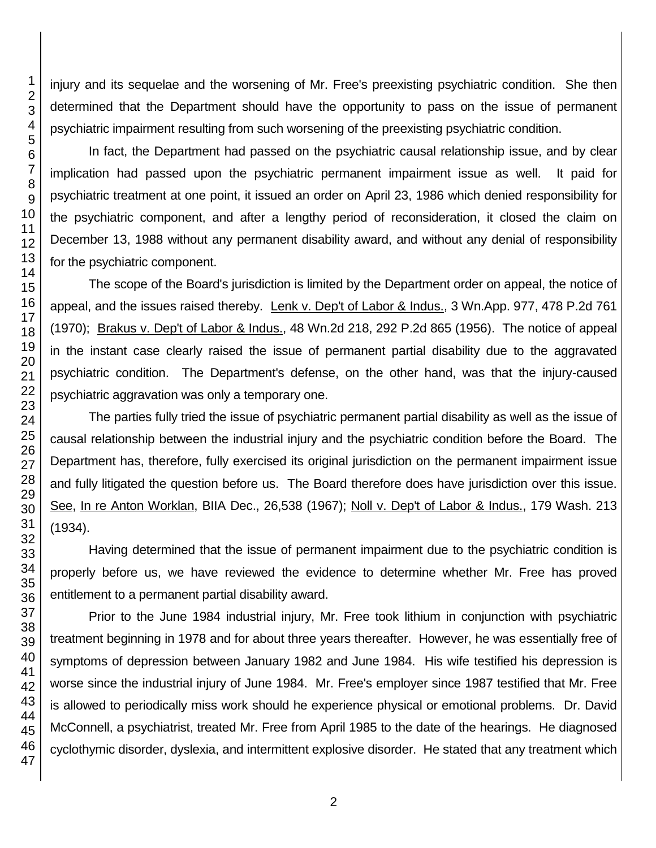injury and its sequelae and the worsening of Mr. Free's preexisting psychiatric condition. She then determined that the Department should have the opportunity to pass on the issue of permanent psychiatric impairment resulting from such worsening of the preexisting psychiatric condition.

In fact, the Department had passed on the psychiatric causal relationship issue, and by clear implication had passed upon the psychiatric permanent impairment issue as well. It paid for psychiatric treatment at one point, it issued an order on April 23, 1986 which denied responsibility for the psychiatric component, and after a lengthy period of reconsideration, it closed the claim on December 13, 1988 without any permanent disability award, and without any denial of responsibility for the psychiatric component.

The scope of the Board's jurisdiction is limited by the Department order on appeal, the notice of appeal, and the issues raised thereby. Lenk v. Dep't of Labor & Indus., 3 Wn.App. 977, 478 P.2d 761 (1970); Brakus v. Dep't of Labor & Indus., 48 Wn.2d 218, 292 P.2d 865 (1956). The notice of appeal in the instant case clearly raised the issue of permanent partial disability due to the aggravated psychiatric condition. The Department's defense, on the other hand, was that the injury-caused psychiatric aggravation was only a temporary one.

The parties fully tried the issue of psychiatric permanent partial disability as well as the issue of causal relationship between the industrial injury and the psychiatric condition before the Board. The Department has, therefore, fully exercised its original jurisdiction on the permanent impairment issue and fully litigated the question before us. The Board therefore does have jurisdiction over this issue. See, In re Anton Worklan, BIIA Dec., 26,538 (1967); Noll v. Dep't of Labor & Indus., 179 Wash. 213 (1934).

Having determined that the issue of permanent impairment due to the psychiatric condition is properly before us, we have reviewed the evidence to determine whether Mr. Free has proved entitlement to a permanent partial disability award.

Prior to the June 1984 industrial injury, Mr. Free took lithium in conjunction with psychiatric treatment beginning in 1978 and for about three years thereafter. However, he was essentially free of symptoms of depression between January 1982 and June 1984. His wife testified his depression is worse since the industrial injury of June 1984. Mr. Free's employer since 1987 testified that Mr. Free is allowed to periodically miss work should he experience physical or emotional problems. Dr. David McConnell, a psychiatrist, treated Mr. Free from April 1985 to the date of the hearings. He diagnosed cyclothymic disorder, dyslexia, and intermittent explosive disorder. He stated that any treatment which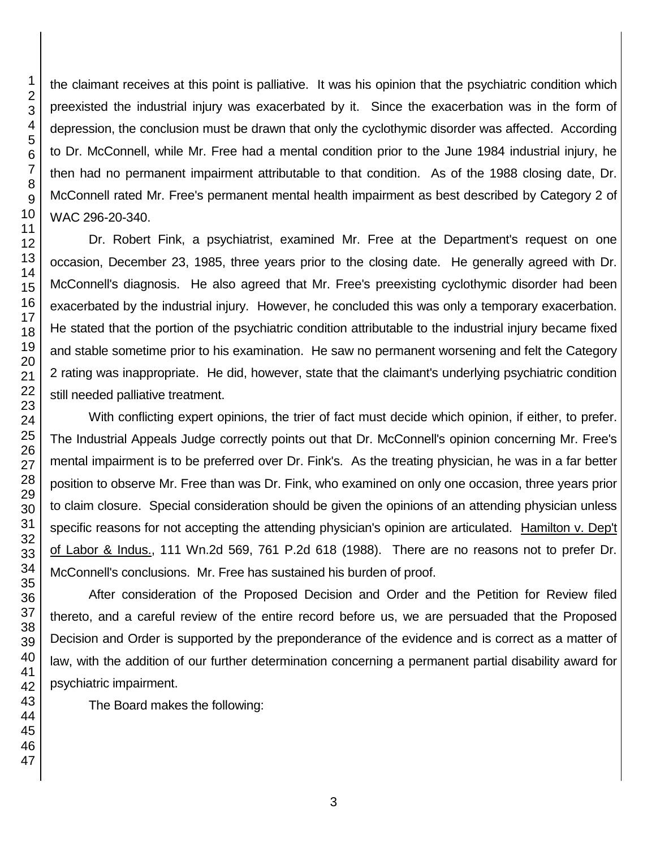the claimant receives at this point is palliative. It was his opinion that the psychiatric condition which preexisted the industrial injury was exacerbated by it. Since the exacerbation was in the form of depression, the conclusion must be drawn that only the cyclothymic disorder was affected. According to Dr. McConnell, while Mr. Free had a mental condition prior to the June 1984 industrial injury, he then had no permanent impairment attributable to that condition. As of the 1988 closing date, Dr. McConnell rated Mr. Free's permanent mental health impairment as best described by Category 2 of WAC 296-20-340.

Dr. Robert Fink, a psychiatrist, examined Mr. Free at the Department's request on one occasion, December 23, 1985, three years prior to the closing date. He generally agreed with Dr. McConnell's diagnosis. He also agreed that Mr. Free's preexisting cyclothymic disorder had been exacerbated by the industrial injury. However, he concluded this was only a temporary exacerbation. He stated that the portion of the psychiatric condition attributable to the industrial injury became fixed and stable sometime prior to his examination. He saw no permanent worsening and felt the Category 2 rating was inappropriate. He did, however, state that the claimant's underlying psychiatric condition still needed palliative treatment.

With conflicting expert opinions, the trier of fact must decide which opinion, if either, to prefer. The Industrial Appeals Judge correctly points out that Dr. McConnell's opinion concerning Mr. Free's mental impairment is to be preferred over Dr. Fink's. As the treating physician, he was in a far better position to observe Mr. Free than was Dr. Fink, who examined on only one occasion, three years prior to claim closure. Special consideration should be given the opinions of an attending physician unless specific reasons for not accepting the attending physician's opinion are articulated. Hamilton v. Dep't of Labor & Indus., 111 Wn.2d 569, 761 P.2d 618 (1988). There are no reasons not to prefer Dr. McConnell's conclusions. Mr. Free has sustained his burden of proof.

After consideration of the Proposed Decision and Order and the Petition for Review filed thereto, and a careful review of the entire record before us, we are persuaded that the Proposed Decision and Order is supported by the preponderance of the evidence and is correct as a matter of law, with the addition of our further determination concerning a permanent partial disability award for psychiatric impairment.

The Board makes the following: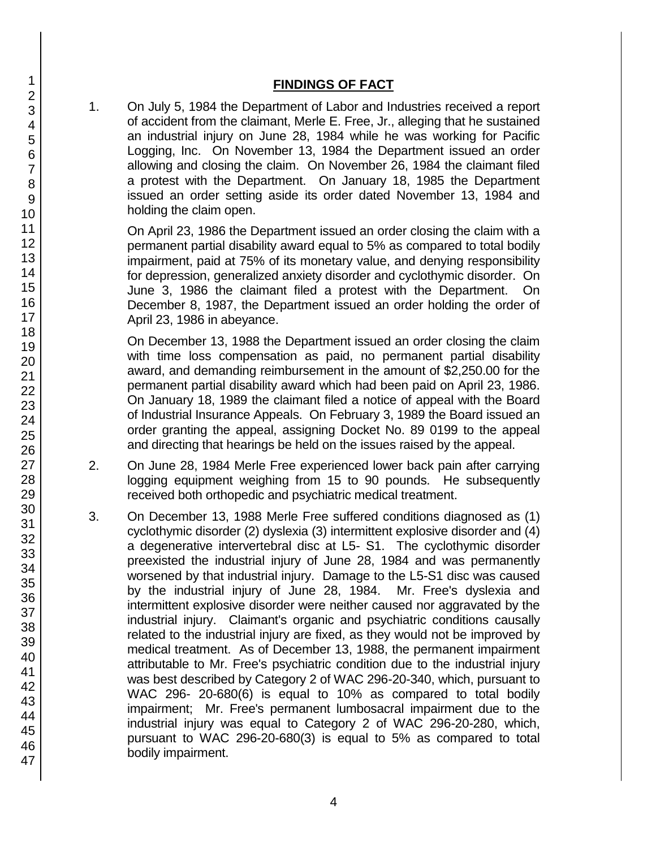## **FINDINGS OF FACT**

1. On July 5, 1984 the Department of Labor and Industries received a report of accident from the claimant, Merle E. Free, Jr., alleging that he sustained an industrial injury on June 28, 1984 while he was working for Pacific Logging, Inc. On November 13, 1984 the Department issued an order allowing and closing the claim. On November 26, 1984 the claimant filed a protest with the Department. On January 18, 1985 the Department issued an order setting aside its order dated November 13, 1984 and holding the claim open.

On April 23, 1986 the Department issued an order closing the claim with a permanent partial disability award equal to 5% as compared to total bodily impairment, paid at 75% of its monetary value, and denying responsibility for depression, generalized anxiety disorder and cyclothymic disorder. On June 3, 1986 the claimant filed a protest with the Department. On December 8, 1987, the Department issued an order holding the order of April 23, 1986 in abeyance.

On December 13, 1988 the Department issued an order closing the claim with time loss compensation as paid, no permanent partial disability award, and demanding reimbursement in the amount of \$2,250.00 for the permanent partial disability award which had been paid on April 23, 1986. On January 18, 1989 the claimant filed a notice of appeal with the Board of Industrial Insurance Appeals. On February 3, 1989 the Board issued an order granting the appeal, assigning Docket No. 89 0199 to the appeal and directing that hearings be held on the issues raised by the appeal.

- 2. On June 28, 1984 Merle Free experienced lower back pain after carrying logging equipment weighing from 15 to 90 pounds. He subsequently received both orthopedic and psychiatric medical treatment.
- 3. On December 13, 1988 Merle Free suffered conditions diagnosed as (1) cyclothymic disorder (2) dyslexia (3) intermittent explosive disorder and (4) a degenerative intervertebral disc at L5- S1. The cyclothymic disorder preexisted the industrial injury of June 28, 1984 and was permanently worsened by that industrial injury. Damage to the L5-S1 disc was caused by the industrial injury of June 28, 1984. Mr. Free's dyslexia and intermittent explosive disorder were neither caused nor aggravated by the industrial injury. Claimant's organic and psychiatric conditions causally related to the industrial injury are fixed, as they would not be improved by medical treatment. As of December 13, 1988, the permanent impairment attributable to Mr. Free's psychiatric condition due to the industrial injury was best described by Category 2 of WAC 296-20-340, which, pursuant to WAC 296- 20-680(6) is equal to 10% as compared to total bodily impairment; Mr. Free's permanent lumbosacral impairment due to the industrial injury was equal to Category 2 of WAC 296-20-280, which, pursuant to WAC 296-20-680(3) is equal to 5% as compared to total bodily impairment.